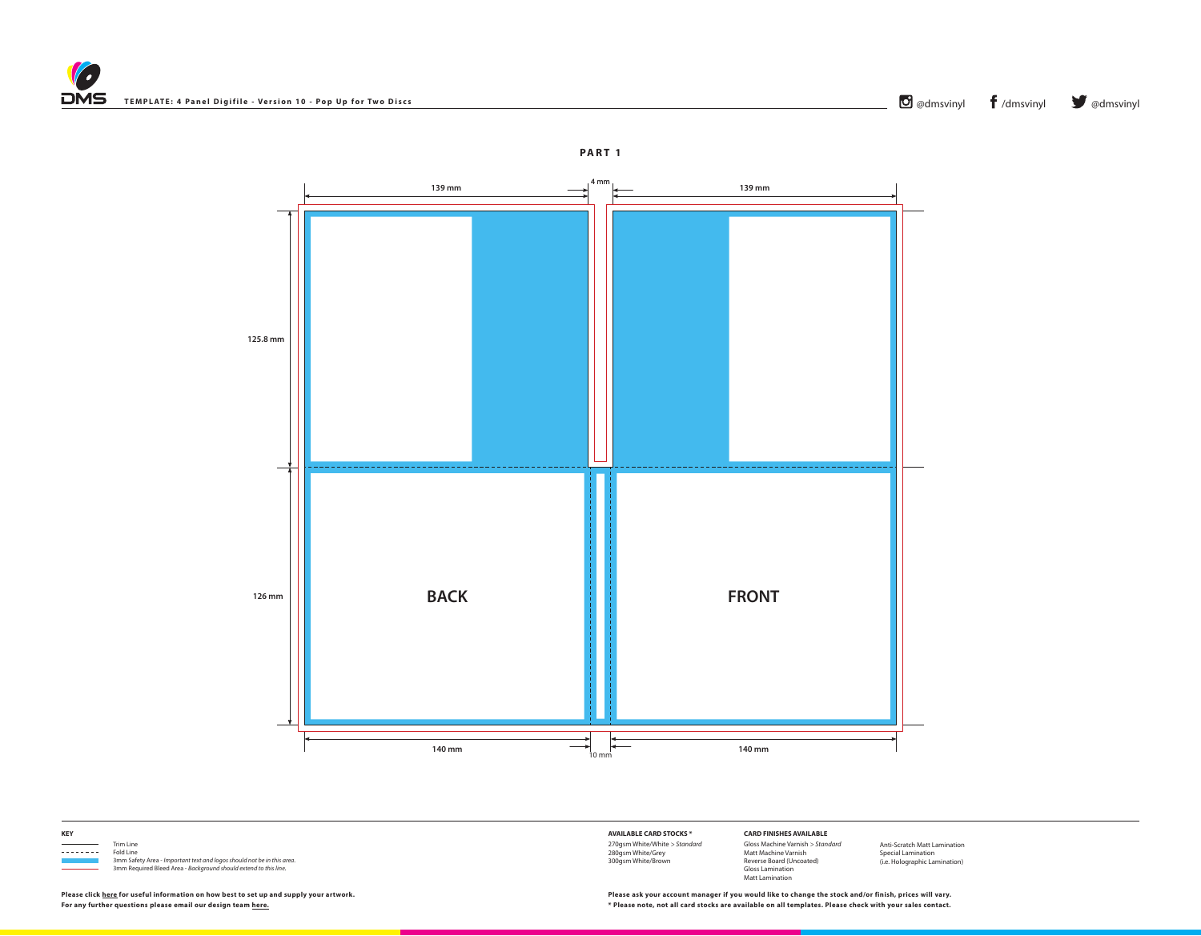



Trim Line<br>
Trim Line<br>
Fold Line 3mm Safety Area - *Important text and logos should not be in this area*. 3mm Required Bleed Area - *Background should extend to this line.*

**KEY**

Fold Line

**AVAILABLE CARD STOCKS \*** 270gsm White/White *> Standard* 280gsm White/Grey 300gsm White/Brown

**CARD FINISHES AVAILABLE** Gloss Machine Varnish *> Standard* Matt Machine Varnish Reverse Board (Uncoated) Gloss Lamination Matt Lamination

Anti-Scratch Matt Lamination Special Lamination (i.e. Holographic Lamination)

**For any further questions please email our design team [here.](mailto:graphics%40discmanufacturingservices.com?subject=Template%20Enquiry) \* Please note, not all card stocks are available on all templates. Please check with your sales contact. Please click [here](https://www.discmanufacturingservices.com/cd/templates#artwork-specifications) for useful information on how best to set up and supply your artwork. Please ask your account manager if you would like to change the stock and/or finish, prices will vary.**